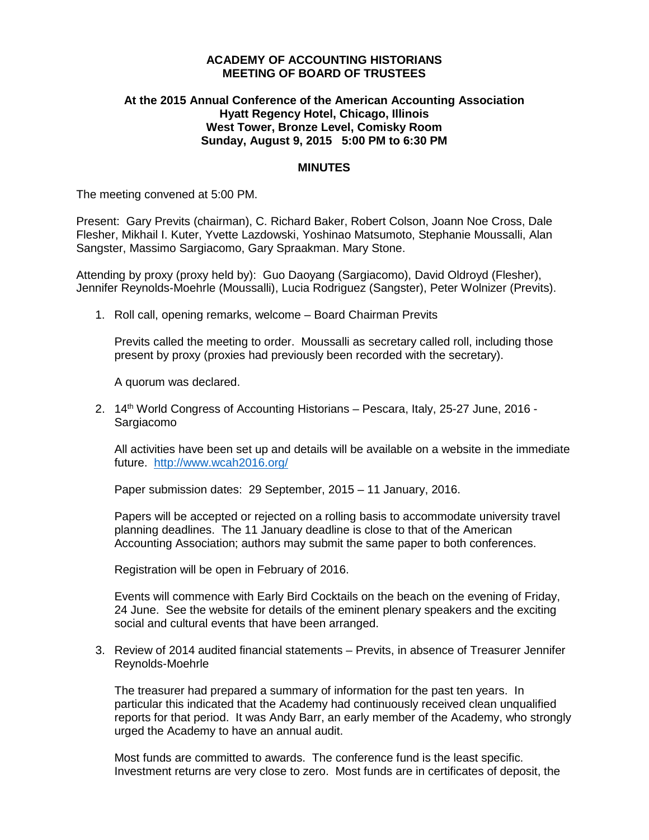## **ACADEMY OF ACCOUNTING HISTORIANS MEETING OF BOARD OF TRUSTEES**

# **At the 2015 Annual Conference of the American Accounting Association Hyatt Regency Hotel, Chicago, Illinois West Tower, Bronze Level, Comisky Room Sunday, August 9, 2015 5:00 PM to 6:30 PM**

### **MINUTES**

The meeting convened at 5:00 PM.

Present: Gary Previts (chairman), C. Richard Baker, Robert Colson, Joann Noe Cross, Dale Flesher, Mikhail I. Kuter, Yvette Lazdowski, Yoshinao Matsumoto, Stephanie Moussalli, Alan Sangster, Massimo Sargiacomo, Gary Spraakman. Mary Stone.

Attending by proxy (proxy held by): Guo Daoyang (Sargiacomo), David Oldroyd (Flesher), Jennifer Reynolds-Moehrle (Moussalli), Lucia Rodriguez (Sangster), Peter Wolnizer (Previts).

1. Roll call, opening remarks, welcome – Board Chairman Previts

Previts called the meeting to order. Moussalli as secretary called roll, including those present by proxy (proxies had previously been recorded with the secretary).

A quorum was declared.

2. 14th World Congress of Accounting Historians – Pescara, Italy, 25-27 June, 2016 - Sargiacomo

All activities have been set up and details will be available on a website in the immediate future. <http://www.wcah2016.org/>

Paper submission dates: 29 September, 2015 – 11 January, 2016.

Papers will be accepted or rejected on a rolling basis to accommodate university travel planning deadlines. The 11 January deadline is close to that of the American Accounting Association; authors may submit the same paper to both conferences.

Registration will be open in February of 2016.

Events will commence with Early Bird Cocktails on the beach on the evening of Friday, 24 June. See the website for details of the eminent plenary speakers and the exciting social and cultural events that have been arranged.

3. Review of 2014 audited financial statements – Previts, in absence of Treasurer Jennifer Reynolds-Moehrle

The treasurer had prepared a summary of information for the past ten years. In particular this indicated that the Academy had continuously received clean unqualified reports for that period. It was Andy Barr, an early member of the Academy, who strongly urged the Academy to have an annual audit.

Most funds are committed to awards. The conference fund is the least specific. Investment returns are very close to zero. Most funds are in certificates of deposit, the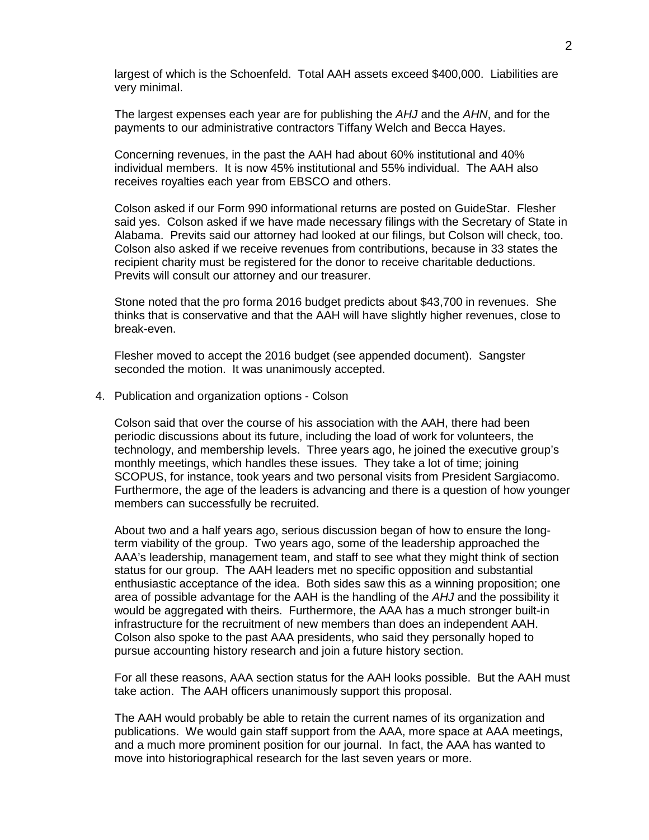largest of which is the Schoenfeld. Total AAH assets exceed \$400,000. Liabilities are very minimal.

The largest expenses each year are for publishing the *AHJ* and the *AHN*, and for the payments to our administrative contractors Tiffany Welch and Becca Hayes.

Concerning revenues, in the past the AAH had about 60% institutional and 40% individual members. It is now 45% institutional and 55% individual. The AAH also receives royalties each year from EBSCO and others.

Colson asked if our Form 990 informational returns are posted on GuideStar. Flesher said yes. Colson asked if we have made necessary filings with the Secretary of State in Alabama. Previts said our attorney had looked at our filings, but Colson will check, too. Colson also asked if we receive revenues from contributions, because in 33 states the recipient charity must be registered for the donor to receive charitable deductions. Previts will consult our attorney and our treasurer.

Stone noted that the pro forma 2016 budget predicts about \$43,700 in revenues. She thinks that is conservative and that the AAH will have slightly higher revenues, close to break-even.

Flesher moved to accept the 2016 budget (see appended document). Sangster seconded the motion. It was unanimously accepted.

4. Publication and organization options - Colson

Colson said that over the course of his association with the AAH, there had been periodic discussions about its future, including the load of work for volunteers, the technology, and membership levels. Three years ago, he joined the executive group's monthly meetings, which handles these issues. They take a lot of time; joining SCOPUS, for instance, took years and two personal visits from President Sargiacomo. Furthermore, the age of the leaders is advancing and there is a question of how younger members can successfully be recruited.

About two and a half years ago, serious discussion began of how to ensure the longterm viability of the group. Two years ago, some of the leadership approached the AAA's leadership, management team, and staff to see what they might think of section status for our group. The AAH leaders met no specific opposition and substantial enthusiastic acceptance of the idea. Both sides saw this as a winning proposition; one area of possible advantage for the AAH is the handling of the *AHJ* and the possibility it would be aggregated with theirs. Furthermore, the AAA has a much stronger built-in infrastructure for the recruitment of new members than does an independent AAH. Colson also spoke to the past AAA presidents, who said they personally hoped to pursue accounting history research and join a future history section.

For all these reasons, AAA section status for the AAH looks possible. But the AAH must take action. The AAH officers unanimously support this proposal.

The AAH would probably be able to retain the current names of its organization and publications. We would gain staff support from the AAA, more space at AAA meetings, and a much more prominent position for our journal. In fact, the AAA has wanted to move into historiographical research for the last seven years or more.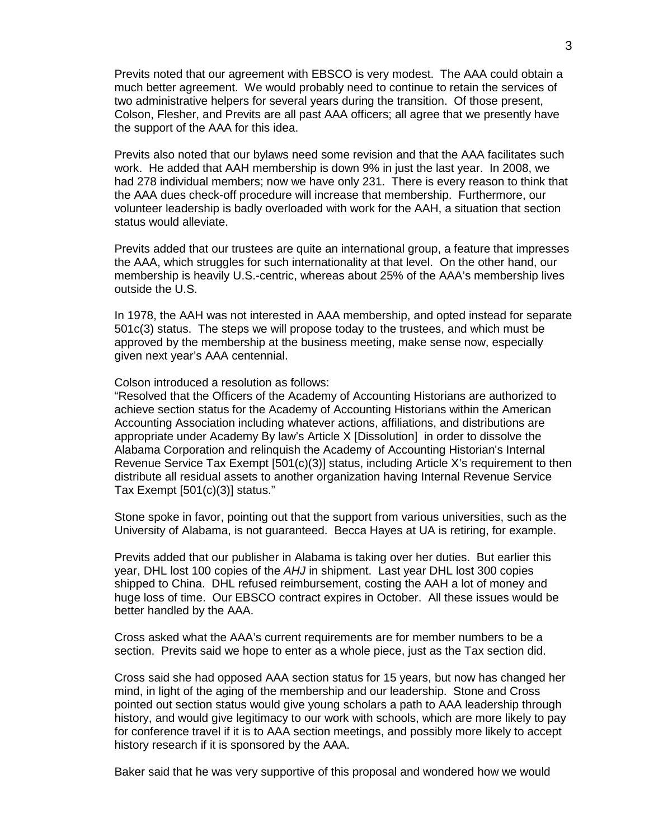Previts noted that our agreement with EBSCO is very modest. The AAA could obtain a much better agreement. We would probably need to continue to retain the services of two administrative helpers for several years during the transition. Of those present, Colson, Flesher, and Previts are all past AAA officers; all agree that we presently have the support of the AAA for this idea.

Previts also noted that our bylaws need some revision and that the AAA facilitates such work. He added that AAH membership is down 9% in just the last year. In 2008, we had 278 individual members; now we have only 231. There is every reason to think that the AAA dues check-off procedure will increase that membership. Furthermore, our volunteer leadership is badly overloaded with work for the AAH, a situation that section status would alleviate.

Previts added that our trustees are quite an international group, a feature that impresses the AAA, which struggles for such internationality at that level. On the other hand, our membership is heavily U.S.-centric, whereas about 25% of the AAA's membership lives outside the U.S.

In 1978, the AAH was not interested in AAA membership, and opted instead for separate 501c(3) status. The steps we will propose today to the trustees, and which must be approved by the membership at the business meeting, make sense now, especially given next year's AAA centennial.

Colson introduced a resolution as follows:

"Resolved that the Officers of the Academy of Accounting Historians are authorized to achieve section status for the Academy of Accounting Historians within the American Accounting Association including whatever actions, affiliations, and distributions are appropriate under Academy By law's Article X [Dissolution] in order to dissolve the Alabama Corporation and relinquish the Academy of Accounting Historian's Internal Revenue Service Tax Exempt [501(c)(3)] status, including Article X's requirement to then distribute all residual assets to another organization having Internal Revenue Service Tax Exempt [501(c)(3)] status."

Stone spoke in favor, pointing out that the support from various universities, such as the University of Alabama, is not guaranteed. Becca Hayes at UA is retiring, for example.

Previts added that our publisher in Alabama is taking over her duties. But earlier this year, DHL lost 100 copies of the *AHJ* in shipment. Last year DHL lost 300 copies shipped to China. DHL refused reimbursement, costing the AAH a lot of money and huge loss of time. Our EBSCO contract expires in October. All these issues would be better handled by the AAA.

Cross asked what the AAA's current requirements are for member numbers to be a section. Previts said we hope to enter as a whole piece, just as the Tax section did.

Cross said she had opposed AAA section status for 15 years, but now has changed her mind, in light of the aging of the membership and our leadership. Stone and Cross pointed out section status would give young scholars a path to AAA leadership through history, and would give legitimacy to our work with schools, which are more likely to pay for conference travel if it is to AAA section meetings, and possibly more likely to accept history research if it is sponsored by the AAA.

Baker said that he was very supportive of this proposal and wondered how we would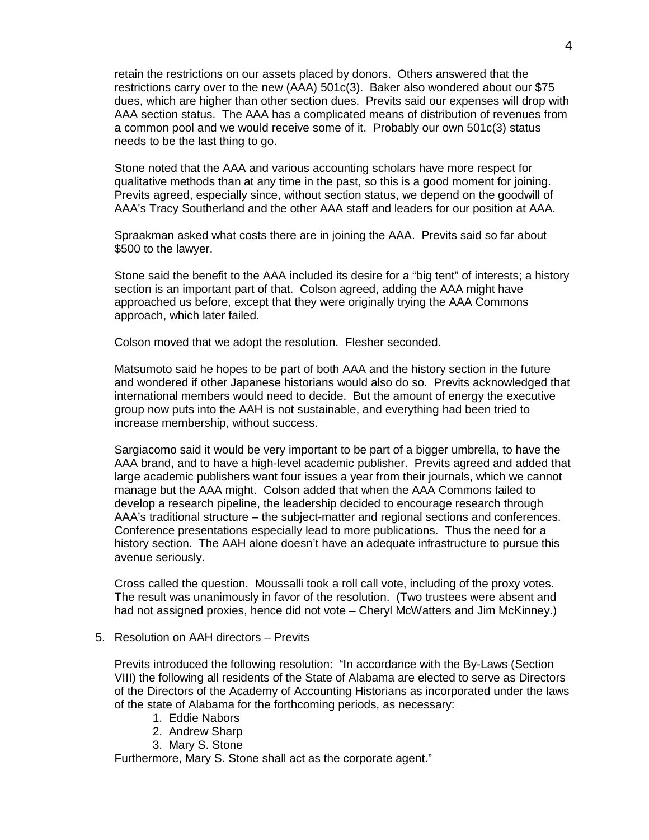retain the restrictions on our assets placed by donors. Others answered that the restrictions carry over to the new (AAA) 501c(3). Baker also wondered about our \$75 dues, which are higher than other section dues. Previts said our expenses will drop with AAA section status. The AAA has a complicated means of distribution of revenues from a common pool and we would receive some of it. Probably our own 501c(3) status needs to be the last thing to go.

Stone noted that the AAA and various accounting scholars have more respect for qualitative methods than at any time in the past, so this is a good moment for joining. Previts agreed, especially since, without section status, we depend on the goodwill of AAA's Tracy Southerland and the other AAA staff and leaders for our position at AAA.

Spraakman asked what costs there are in joining the AAA. Previts said so far about \$500 to the lawyer.

Stone said the benefit to the AAA included its desire for a "big tent" of interests; a history section is an important part of that. Colson agreed, adding the AAA might have approached us before, except that they were originally trying the AAA Commons approach, which later failed.

Colson moved that we adopt the resolution. Flesher seconded.

Matsumoto said he hopes to be part of both AAA and the history section in the future and wondered if other Japanese historians would also do so. Previts acknowledged that international members would need to decide. But the amount of energy the executive group now puts into the AAH is not sustainable, and everything had been tried to increase membership, without success.

Sargiacomo said it would be very important to be part of a bigger umbrella, to have the AAA brand, and to have a high-level academic publisher. Previts agreed and added that large academic publishers want four issues a year from their journals, which we cannot manage but the AAA might. Colson added that when the AAA Commons failed to develop a research pipeline, the leadership decided to encourage research through AAA's traditional structure – the subject-matter and regional sections and conferences. Conference presentations especially lead to more publications. Thus the need for a history section. The AAH alone doesn't have an adequate infrastructure to pursue this avenue seriously.

Cross called the question. Moussalli took a roll call vote, including of the proxy votes. The result was unanimously in favor of the resolution. (Two trustees were absent and had not assigned proxies, hence did not vote – Cheryl McWatters and Jim McKinney.)

5. Resolution on AAH directors – Previts

Previts introduced the following resolution: "In accordance with the By-Laws (Section VIII) the following all residents of the State of Alabama are elected to serve as Directors of the Directors of the Academy of Accounting Historians as incorporated under the laws of the state of Alabama for the forthcoming periods, as necessary:

- 1. Eddie Nabors
- 2. Andrew Sharp
- 3. Mary S. Stone

Furthermore, Mary S. Stone shall act as the corporate agent."